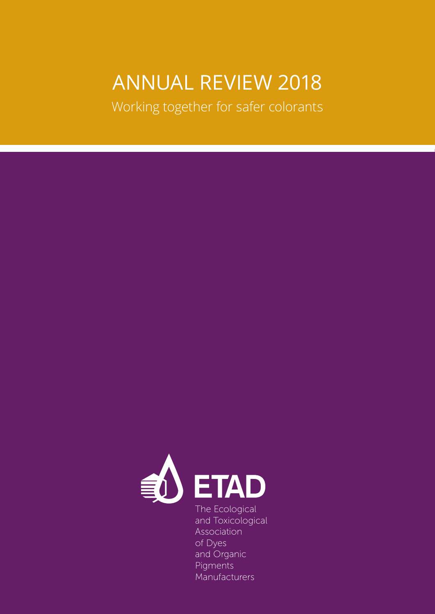# ANNUAL REVIEW 2018

Working together for safer colorants



The Ecological and Toxicological Association of Dyes and Organic Pigments Manufacturers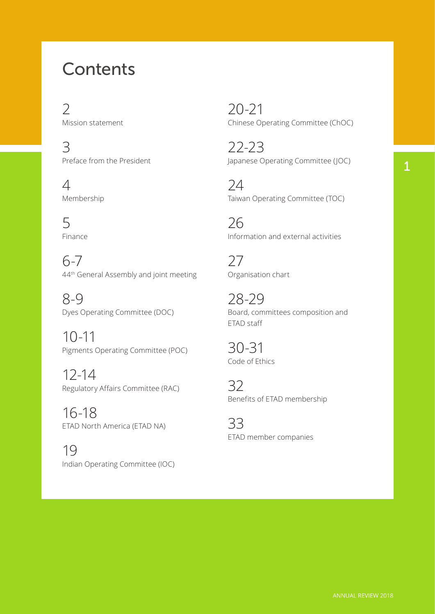# **Contents**

[2](#page-3-0) [Mission statement](#page-3-0)

[3](#page-4-0) [Preface from the President](#page-4-0)

 $\overline{4}$  $\overline{4}$  $\overline{4}$ [Membership](#page-5-0)

[5](#page-6-0) [Finance](#page-6-0)

[6-7](#page-7-0) [44th General Assembly and joint meeting](#page-7-0)

[8-9](#page-9-0) [Dyes Operating Committee \(DOC\)](#page-9-0)

[10-11](#page-11-0)  [Pigments Operating Committee \(POC\)](#page-11-0)

[12-14](#page-13-0) [Regulatory Affairs Committee \(RAC\)](#page-13-0)

[16-18](#page-17-0) [ETAD North America \(ETAD NA\)](#page-17-0)

[19](#page-20-0) [Indian Operating Committee \(IOC\)](#page-20-0) [20-21](#page-21-0) [Chinese Operating Committee \(ChOC\)](#page-21-0)

[22-23](#page-23-0) [Japanese Operating Committee \(JOC\)](#page-23-0)

[24](#page-25-0) [Taiwan Operating Committee \(TOC\)](#page-25-0)

[26](#page-27-0) [Information and external activities](#page-27-0)

[27](#page-28-0) [Organisation chart](#page-28-0)

[28-29](#page-29-0) [Board, committees composition and](#page-29-0)  [ETAD staff](#page-29-0)

[30-31](#page-31-0) [Code of Ethics](#page-31-0)

[32](#page-33-0) [Benefits of ETAD membership](#page-33-0)

[33](#page-34-0) [ETAD member companies](#page-34-0)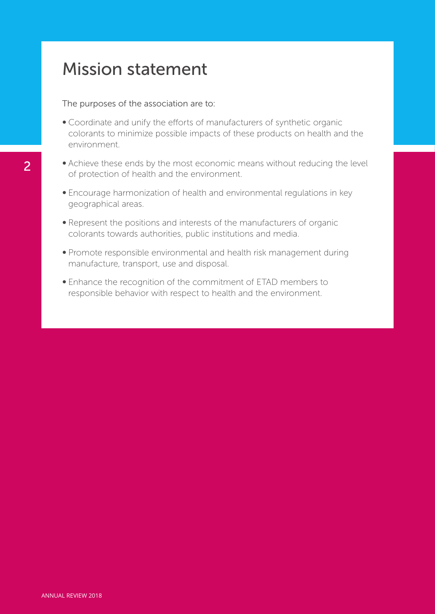# <span id="page-3-0"></span>Mission statement

## The purposes of the association are to:

- Coordinate and unify the efforts of manufacturers of synthetic organic colorants to minimize possible impacts of these products on health and the environment.
- Achieve these ends by the most economic means without reducing the level of protection of health and the environment.
- Encourage harmonization of health and environmental regulations in key geographical areas.
- Represent the positions and interests of the manufacturers of organic colorants towards authorities, public institutions and media.
- Promote responsible environmental and health risk management during manufacture, transport, use and disposal.
- Enhance the recognition of the commitment of ETAD members to responsible behavior with respect to health and the environment.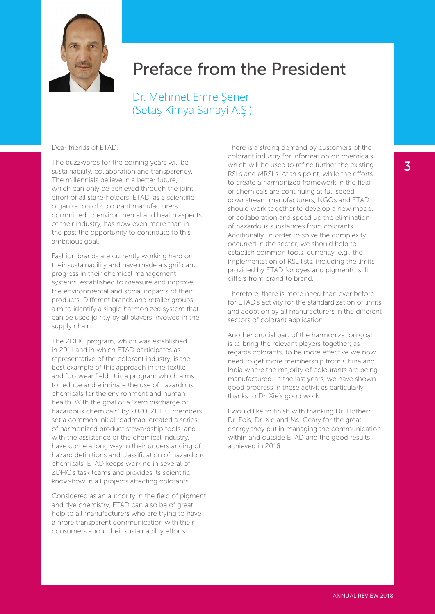<span id="page-4-0"></span>

# Preface from the President

Dr. Mehmet Emre Şener (Setaş Kimya Sanayi A.Ş.)

Dear friends of ETAD,

The buzzwords for the coming years will be sustainability, collaboration and transparency. The millennials believe in a better future, which can only be achieved through the joint effort of all stake-holders. ETAD, as a scientific organisation of colourant manufacturers committed to environmental and health aspects of their industry, has now even more than in the past the opportunity to contribute to this ambitious goal.

Fashion brands are currently working hard on their sustainability and have made a significant progress in their chemical management systems, established to measure and improve the environmental and social impacts of their products. Different brands and retailer groups aim to identify a single harmonized system that can be used jointly by all players involved in the supply chain.

The ZDHC program, which was established in 2011 and in which ETAD participates as representative of the colorant industry, is the best example of this approach in the textile and footwear field. It is a program which aims to reduce and eliminate the use of hazardous chemicals for the environment and human health. With the goal of a "zero discharge of hazardous chemicals" by 2020, ZDHC members set a common initial roadmap, created a series of harmonized product stewardship tools, and, with the assistance of the chemical industry, have come a long way in their understanding of hazard definitions and classification of hazardous chemicals. ETAD keeps working in several of ZDHC's task teams and provides its scientific know-how in all projects affecting colorants.

Considered as an authority in the field of pigment and dye chemistry, ETAD can also be of great help to all manufacturers who are trying to have a more transparent communication with their consumers about their sustainability efforts.

There is a strong demand by customers of the colorant industry for information on chemicals, which will be used to refine further the existing RSLs and MRSLs. At this point, while the efforts to create a harmonized framework in the field of chemicals are continuing at full speed, downstream manufacturers, NGOs and ETAD should work together to develop a new model of collaboration and speed up the elimination of hazardous substances from colorants. Additionally, in order to solve the complexity occurred in the sector, we should help to establish common tools; currently, e.g., the implementation of RSL lists, including the limits provided by ETAD for dyes and pigments, still differs from brand to brand.

Therefore, there is more need than ever before for ETAD's activity for the standardization of limits and adoption by all manufacturers in the different sectors of colorant application.

Another crucial part of the harmonization goal is to bring the relevant players together; as regards colorants, to be more effective we now need to get more membership from China and India where the majority of colourants are being manufactured. In the last years, we have shown good progress in these activities particularly thanks to Dr. Xie's good work.

I would like to finish with thanking Dr. Hofherr, Dr. Fois, Dr. Xie and Ms. Geary for the great energy they put in managing the communication within and outside ETAD and the good results achieved in 2018.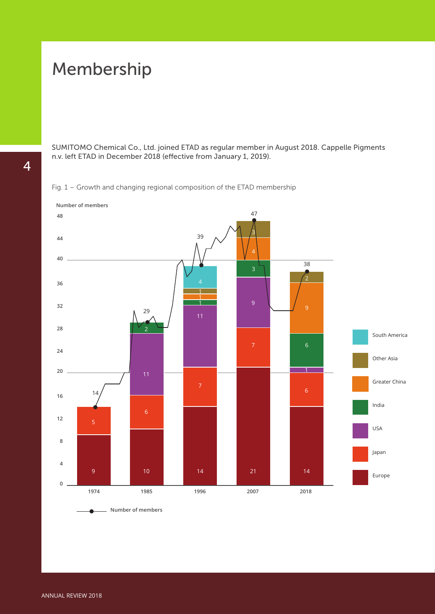# <span id="page-5-0"></span>Membership

SUMITOMO Chemical Co., Ltd. joined ETAD as regular member in August 2018. Cappelle Pigments n.v. left ETAD in December 2018 (effective from January 1, 2019).





**Number of members**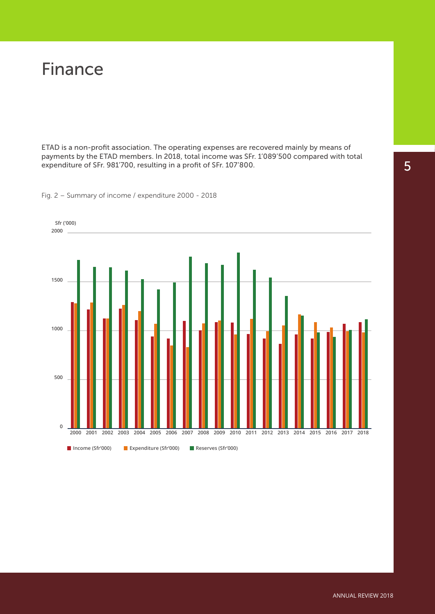# <span id="page-6-0"></span>Finance

ETAD is a non-profit association. The operating expenses are recovered mainly by means of payments by the ETAD members. In 2018, total income was SFr. 1'089'500 compared with total expenditure of SFr. 981'700, resulting in a profit of SFr. 107'800.



Fig. 2 – Summary of income / expenditure 2000 - 2018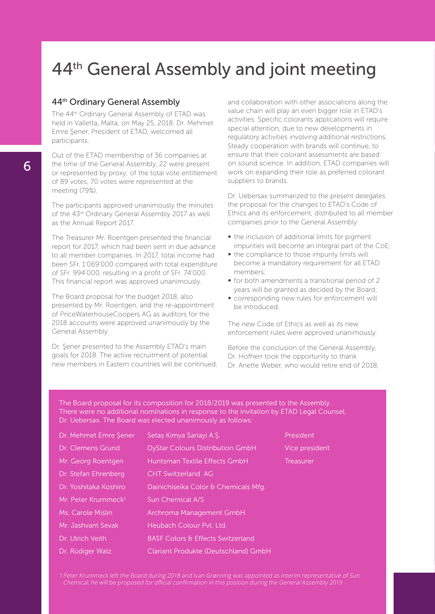# <span id="page-7-0"></span>44<sup>th</sup> General Assembly and joint meeting

#### 44th Ordinary General Assembly

The 44th Ordinary General Assembly of ETAD was held in Valletta, Malta, on May 25, 2018. Dr. Mehmet Emre Şener, President of ETAD, welcomed all participants.

Out of the ETAD membership of 36 companies at the time of the General Assembly, 22 were present or represented by proxy; of the total vote entitlement of 89 votes, 70 votes were represented at the meeting (79%).

The participants approved unanimously the minutes of the 43rd Ordinary General Assembly 2017 as well as the Annual Report 2017.

The Treasurer Mr. Roentgen presented the financial report for 2017, which had been sent in due advance to all member companies. In 2017, total income had been SFr. 1'069'000 compared with total expenditure of SFr. 994'000, resulting in a profit of SFr. 74'000. This financial report was approved unanimously.

The Board proposal for the budget 2018, also presented by Mr. Roentgen, and the re-appointment of PriceWaterhouseCoopers AG as auditors for the 2018 accounts were approved unanimously by the General Assembly.

Dr. Şener presented to the Assembly ETAD's main goals for 2018. The active recruitment of potential new members in Eastern countries will be continued, and collaboration with other associations along the value chain will play an even bigger role in ETAD's activities. Specific colorants applications will require special attention, due to new developments in regulatory activities involving additional restrictions. Steady cooperation with brands will continue, to ensure that their colorant assessments are based on sound science. In addition, ETAD companies will work on expanding their role as preferred colorant suppliers to brands.

Dr. Uebersax summarized to the present delegates the proposal for the changes to ETAD's Code of Ethics and its enforcement, distributed to all member companies prior to the General Assembly:

- the inclusion of additional limits for pigment impurities will become an integral part of the CoE;
- the compliance to those impurity limits will become a mandatory requirement for all ETAD members;
- for both amendments a transitional period of 2 years will be granted as decided by the Board;
- corresponding new rules for enforcement will be introduced.

The new Code of Ethics as well as its new enforcement rules were approved unanimously.

Before the conclusion of the General Assembly, Dr. Hofherr took the opportunity to thank Dr. Anette Weber, who would retire end of 2018,

The Board proposal for its composition for 2018/2019 was presented to the Assembly. There were no additional nominations in response to the invitation by ETAD Legal Counsel, Dr. Uebersax. The Board was elected unanimously as follows:

| Dr. Mehmet Emre Şener           | Setaş Kimya Sanayi A.Ş.                      | President        |
|---------------------------------|----------------------------------------------|------------------|
| Dr. Clemens Grund               | <b>DyStar Colours Distribution GmbH</b>      | Vice president   |
| Mr. Georg Roentgen              | Huntsman Textile Effects GmbH                | <b>Treasurer</b> |
| Dr. Stefan Ehrenberg            | <b>CHT Switzerland AG</b>                    |                  |
| Dr. Yoshitaka Koshiro           | Dainichiseika Color & Chemicals Mfg.         |                  |
| Mr. Peter Krummeck <sup>1</sup> | Sun Chemical A/S                             |                  |
| Ms. Carole Mislin               | Archroma Management GmbH                     |                  |
| Mr. Jashvant Sevak              | Heubach Colour Pyt. Ltd.                     |                  |
| Dr. Ulrich Veith                | <b>BASF Colors &amp; Effects Switzerland</b> |                  |
| Dr. Rüdiger Walz                | Clariant Produkte (Deutschland) GmbH         |                  |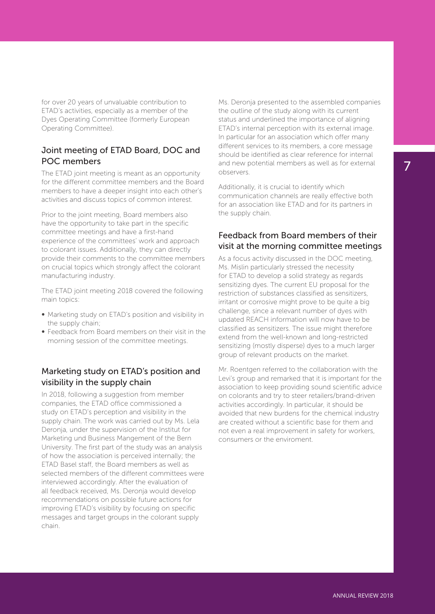for over 20 years of unvaluable contribution to ETAD's activities, especially as a member of the Dyes Operating Committee (formerly European Operating Committee).

# Joint meeting of ETAD Board, DOC and POC members

The ETAD joint meeting is meant as an opportunity for the different committee members and the Board members to have a deeper insight into each other's activities and discuss topics of common interest.

Prior to the joint meeting, Board members also have the opportunity to take part in the specific committee meetings and have a first-hand experience of the committees' work and approach to colorant issues. Additionally, they can directly provide their comments to the committee members on crucial topics which strongly affect the colorant manufacturing industry.

The ETAD joint meeting 2018 covered the following main topics:

- Marketing study on ETAD's position and visibility in the supply chain;
- Feedback from Board members on their visit in the morning session of the committee meetings.

# Marketing study on ETAD's position and visibility in the supply chain

In 2018, following a suggestion from member companies, the ETAD office commissioned a study on ETAD's perception and visibility in the supply chain. The work was carried out by Ms. Lela Deronja, under the supervision of the Institut for Marketing und Business Mangement of the Bern University. The first part of the study was an analysis of how the association is perceived internally; the ETAD Basel staff, the Board members as well as selected members of the different committees were interviewed accordingly. After the evaluation of all feedback received, Ms. Deronja would develop recommendations on possible future actions for improving ETAD's visibility by focusing on specific messages and target groups in the colorant supply chain.

Ms. Deronja presented to the assembled companies the outline of the study along with its current status and underlined the importance of aligning ETAD's internal perception with its external image. In particular for an association which offer many different services to its members, a core message should be identified as clear reference for internal and new potential members as well as for external observers.

Additionally, it is crucial to identify which communication channels are really effective both for an association like ETAD and for its partners in the supply chain.

# Feedback from Board members of their visit at the morning committee meetings

As a focus activity discussed in the DOC meeting, Ms. Mislin particularly stressed the necessity for ETAD to develop a solid strategy as regards sensitizing dyes. The current EU proposal for the restriction of substances classified as sensitizers, irritant or corrosive might prove to be quite a big challenge, since a relevant number of dyes with updated REACH information will now have to be classified as sensitizers. The issue might therefore extend from the well-known and long-restricted sensitizing (mostly disperse) dyes to a much larger group of relevant products on the market.

Mr. Roentgen referred to the collaboration with the Levi's group and remarked that it is important for the association to keep providing sound scientific advice on colorants and try to steer retailers/brand-driven activities accordingly. In particular, it should be avoided that new burdens for the chemical industry are created without a scientific base for them and not even a real improvement in safety for workers, consumers or the enviroment.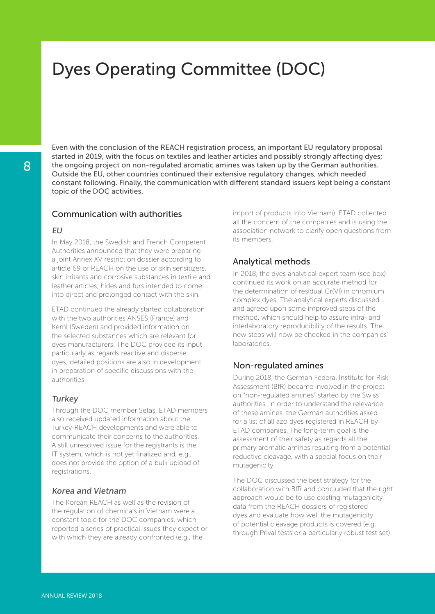# <span id="page-9-0"></span>Dyes Operating Committee (DOC)

Even with the conclusion of the REACH registration process, an important EU regulatory proposal started in 2019, with the focus on textiles and leather articles and possibly strongly affecting dyes; the ongoing project on non-regulated aromatic amines was taken up by the German authorities. Outside the EU, other countries continued their extensive regulatory changes, which needed constant following. Finally, the communication with different standard issuers kept being a constant topic of the DOC activities.

#### Communication with authorities

#### **EU**

In May 2018, the Swedish and French Competent Authorities announced that they were preparing a joint Annex XV restriction dossier according to article 69 of REACH on the use of skin sensitizers, skin irritants and corrosive substances in textile and leather articles, hides and furs intended to come into direct and prolonged contact with the skin.

ETAD continued the already started collaboration with the two authorities ANSES (France) and KemI (Sweden) and provided information on the selected substances which are relevant for dyes manufacturers. The DOC provided its input particularly as regards reactive and disperse dyes; detailed positions are also in development in preparation of specific discussions with the authorities.

### **Turkey**

Through the DOC member Setaș, ETAD members also received updated information about the Turkey-REACH developments and were able to communicate their concerns to the authorities. A still unresolved issue for the registrants is the IT system, which is not yet finalized and, e.g., does not provide the option of a bulk upload of registrations.

### **Korea and Vietnam**

The Korean REACH as well as the revision of the regulation of chemicals in Vietnam were a constant topic for the DOC companies, which reported a series of practical issues they expect or with which they are already confronted (e.g., the

import of products into Vietnam). ETAD collected all the concern of the companies and is using the association network to clarify open questions from its members.

## Analytical methods

In 2018, the dyes analytical expert team (see box) continued its work on an accurate method for the determination of residual Cr(VI) in chromium complex dyes. The analytical experts discussed and agreed upon some improved steps of the method, which should help to assure intra- and interlaboratory reproducibility of the results. The new steps will now be checked in the companies' laboratories.

### Non-regulated amines

During 2018, the German Federal Institute for Risk Assessment (BfR) became involved in the project on "non-regulated amines" started by the Swiss authorities. In order to understand the relevance of these amines, the German authorities asked for a list of all azo dyes registered in REACH by ETAD companies. The long-term goal is the assessment of their safety as regards all the primary aromatic amines resulting from a potential reductive cleavage, with a special focus on their mutagenicity.

The DOC discussed the best strategy for the collaboration with BfR and concluded that the right approach would be to use existing mutagenicity data from the REACH dossiers of registered dyes and evaluate how well the mutagenicity of potential cleavage products is covered (e.g. through Prival tests or a particularly robust test set).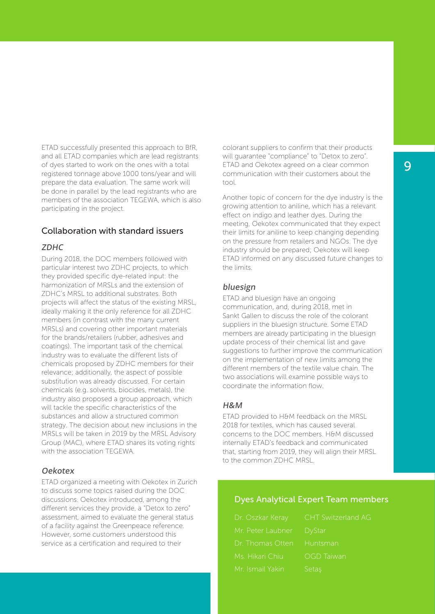ETAD successfully presented this approach to BfR, and all ETAD companies which are lead registrants of dyes started to work on the ones with a total registered tonnage above 1000 tons/year and will prepare the data evaluation. The same work will be done in parallel by the lead registrants who are members of the association TEGEWA, which is also participating in the project.

## Collaboration with standard issuers

### **ZDHC**

During 2018, the DOC members followed with particular interest two ZDHC projects, to which they provided specific dye-related input: the harmonization of MRSLs and the extension of ZDHC's MRSL to additional substrates. Both projects will affect the status of the existing MRSL, ideally making it the only reference for all ZDHC members (in contrast with the many current MRSLs) and covering other important materials for the brands/retailers (rubber, adhesives and coatings). The important task of the chemical industry was to evaluate the different lists of chemicals proposed by ZDHC members for their relevance; additionally, the aspect of possible substitution was already discussed. For certain chemicals (e.g. solvents, biocides, metals), the industry also proposed a group approach, which will tackle the specific characteristics of the substances and allow a structured common strategy. The decision about new inclusions in the MRSLs will be taken in 2019 by the MRSL Advisory Group (MAC), where ETAD shares its voting rights with the association TEGEWA.

#### **Oekotex**

ETAD organized a meeting with Oekotex in Zurich to discuss some topics raised during the DOC discussions. Oekotex introduced, among the different services they provide, a "Detox to zero" assessment, aimed to evaluate the general status of a facility against the Greenpeace reference. However, some customers understood this service as a certification and required to their

colorant suppliers to confirm that their products will guarantee "compliance" to "Detox to zero". ETAD and Oekotex agreed on a clear common communication with their customers about the tool.

Another topic of concern for the dye industry is the growing attention to aniline, which has a relevant effect on indigo and leather dyes. During the meeting, Oekotex communicated that they expect their limits for aniline to keep changing depending on the pressure from retailers and NGOs. The dye industry should be prepared; Oekotex will keep ETAD informed on any discussed future changes to the limits.

### **bluesign**

ETAD and bluesign have an ongoing communication, and, during 2018, met in Sankt Gallen to discuss the role of the colorant suppliers in the bluesign structure. Some ETAD members are already participating in the bluesign update process of their chemical list and gave suggestions to further improve the communication on the implementation of new limits among the different members of the textile value chain. The two associations will examine possible ways to coordinate the information flow.

#### **H&M**

ETAD provided to H&M feedback on the MRSL 2018 for textiles, which has caused several concerns to the DOC members. H&M discussed internally ETAD's feedback and communicated that, starting from 2019, they will align their MRSL to the common ZDHC MRSL.

### Dyes Analytical Expert Team members

| Dr. Oszkar Keray          | <b>CHT Switzerland AG</b> |
|---------------------------|---------------------------|
| Mr. Peter Laubner         | DyStar                    |
| Dr. Thomas Otten Huntsman |                           |
| Ms. Hikari Chiu           | OGD Taiwan                |
| Mr. Ismail Yakin          | Setaş                     |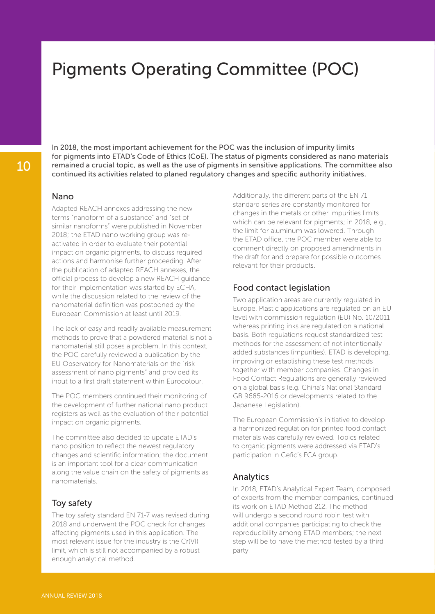# <span id="page-11-0"></span>Pigments Operating Committee (POC)

10

In 2018, the most important achievement for the POC was the inclusion of impurity limits for pigments into ETAD's Code of Ethics (CoE). The status of pigments considered as nano materials remained a crucial topic, as well as the use of pigments in sensitive applications. The committee also continued its activities related to planed regulatory changes and specific authority initiatives.

### Nano

Adapted REACH annexes addressing the new terms "nanoform of a substance" and "set of similar nanoforms" were published in November 2018; the ETAD nano working group was reactivated in order to evaluate their potential impact on organic pigments, to discuss required actions and harmonise further proceeding. After the publication of adapted REACH annexes, the official process to develop a new REACH guidance for their implementation was started by ECHA, while the discussion related to the review of the nanomaterial definition was postponed by the European Commission at least until 2019.

The lack of easy and readily available measurement methods to prove that a powdered material is not a nanomaterial still poses a problem. In this context, the POC carefully reviewed a publication by the EU Observatory for Nanomaterials on the "risk assessment of nano pigments" and provided its input to a first draft statement within Eurocolour.

The POC members continued their monitoring of the development of further national nano product registers as well as the evaluation of their potential impact on organic pigments.

The committee also decided to update ETAD's nano position to reflect the newest regulatory changes and scientific information; the document is an important tool for a clear communication along the value chain on the safety of pigments as nanomaterials.

### Toy safety

The toy safety standard EN 71-7 was revised during 2018 and underwent the POC check for changes affecting pigments used in this application. The most relevant issue for the industry is the Cr(VI) limit, which is still not accompanied by a robust enough analytical method.

Additionally, the different parts of the EN 71 standard series are constantly monitored for changes in the metals or other impurities limits which can be relevant for pigments; in 2018, e.g., the limit for aluminum was lowered. Through the ETAD office, the POC member were able to comment directly on proposed amendments in the draft for and prepare for possible outcomes relevant for their products.

# Food contact legislation

Two application areas are currently regulated in Europe. Plastic applications are regulated on an EU level with commission regulation (EU) No. 10/2011 whereas printing inks are regulated on a national basis. Both regulations request standardized test methods for the assessment of not intentionally added substances (impurities). ETAD is developing, improving or establishing these test methods together with member companies. Changes in Food Contact Regulations are generally reviewed on a global basis (e.g. China's National Standard GB 9685-2016 or developments related to the Japanese Legislation).

The European Commission's initiative to develop a harmonized regulation for printed food contact materials was carefully reviewed. Topics related to organic pigments were addressed via ETAD's participation in Cefic's FCA group.

# Analytics

In 2018, ETAD's Analytical Expert Team, composed of experts from the member companies, continued its work on ETAD Method 212. The method will undergo a second round robin test with additional companies participating to check the reproducibility among ETAD members; the next step will be to have the method tested by a third party.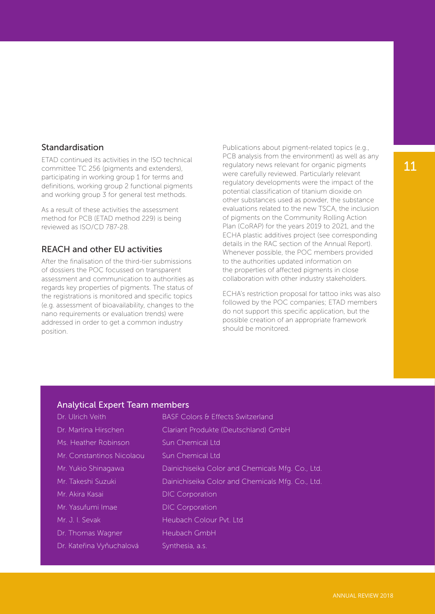#### Standardisation

ETAD continued its activities in the ISO technical committee TC 256 (pigments and extenders), participating in working group 1 for terms and definitions, working group 2 functional pigments and working group 3 for general test methods.

As a result of these activities the assessment method for PCB (ETAD method 229) is being reviewed as ISO/CD 787-28.

## REACH and other EU activities

After the finalisation of the third-tier submissions of dossiers the POC focussed on transparent assessment and communication to authorities as regards key properties of pigments. The status of the registrations is monitored and specific topics (e.g. assessment of bioavailability, changes to the nano requirements or evaluation trends) were addressed in order to get a common industry position.

Publications about pigment-related topics (e.g., PCB analysis from the environment) as well as any regulatory news relevant for organic pigments were carefully reviewed. Particularly relevant regulatory developments were the impact of the potential classification of titanium dioxide on other substances used as powder, the substance evaluations related to the new TSCA, the inclusion of pigments on the Community Rolling Action Plan (CoRAP) for the years 2019 to 2021, and the ECHA plastic additives project (see corresponding details in the RAC section of the Annual Report). Whenever possible, the POC members provided to the authorities updated information on the properties of affected pigments in close collaboration with other industry stakeholders.

ECHA's restriction proposal for tattoo inks was also followed by the POC companies; ETAD members do not support this specific application, but the possible creation of an appropriate framework should be monitored.

#### Analytical Expert Team members

| Dr. Ulrich Veith          | <b>BASF Colors &amp; Effects Switzerland</b>     |
|---------------------------|--------------------------------------------------|
| Dr. Martina Hirschen      | Clariant Produkte (Deutschland) GmbH             |
| Ms. Heather Robinson      | Sun Chemical Ltd                                 |
| Mr. Constantinos Nicolaou | Sun Chemical Ltd                                 |
| Mr. Yukio Shinagawa       | Dainichiseika Color and Chemicals Mfg. Co., Ltd. |
| Mr. Takeshi Suzuki        | Dainichiseika Color and Chemicals Mfg. Co., Ltd. |
| Mr. Akira Kasai           | <b>DIC Corporation</b>                           |
| Mr. Yasufumi Imae         | <b>DIC Corporation</b>                           |
| Mr. J. I. Sevak           | Heubach Colour Pyt. Ltd                          |
| Dr. Thomas Wagner         | Heubach GmbH                                     |
| Dr. Kateřina Vyňuchalová  | Synthesia, a.s.                                  |
|                           |                                                  |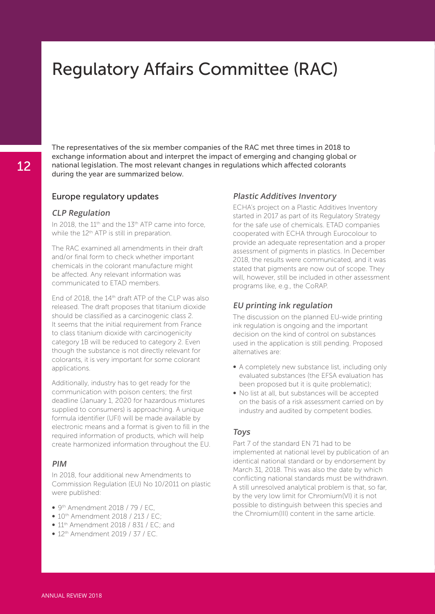# <span id="page-13-0"></span>Regulatory Affairs Committee (RAC)

The representatives of the six member companies of the RAC met three times in 2018 to exchange information about and interpret the impact of emerging and changing global or national legislation. The most relevant changes in regulations which affected colorants during the year are summarized below.

#### Europe regulatory updates

#### **CLP Regulation**

In 2018, the 11<sup>th</sup> and the 13<sup>th</sup> ATP came into force, while the 12<sup>th</sup> ATP is still in preparation.

The RAC examined all amendments in their draft and/or final form to check whether important chemicals in the colorant manufacture might be affected. Any relevant information was communicated to ETAD members.

End of 2018, the 14<sup>th</sup> draft ATP of the CLP was also released. The draft proposes that titanium dioxide should be classified as a carcinogenic class 2. It seems that the initial requirement from France to class titanium dioxide with carcinogenicity category 1B will be reduced to category 2. Even though the substance is not directly relevant for colorants, it is very important for some colorant applications.

Additionally, industry has to get ready for the communication with poison centers; the first deadline (January 1, 2020 for hazardous mixtures supplied to consumers) is approaching. A unique formula identifier (UFI) will be made available by electronic means and a format is given to fill in the required information of products, which will help create harmonized information throughout the EU.

#### **PIM**

In 2018, four additional new Amendments to Commission Regulation (EU) No 10/2011 on plastic were published:

- 9<sup>th</sup> Amendment 2018 / 79 / FC.
- $10$ <sup>th</sup> Amendment 2018 / 213 / FC;
- $\bullet$  11<sup>th</sup> Amendment 2018 / 831 / EC; and
- $\bullet$  12<sup>th</sup> Amendment 2019 / 37 / EC.

#### **Plastic Additives Inventory**

ECHA's project on a Plastic Additives Inventory started in 2017 as part of its Regulatory Strategy for the safe use of chemicals. ETAD companies cooperated with ECHA through Eurocolour to provide an adequate representation and a proper assessment of pigments in plastics. In December 2018, the results were communicated, and it was stated that pigments are now out of scope. They will, however, still be included in other assessment programs like, e.g., the CoRAP.

#### **EU printing ink regulation**

The discussion on the planned EU-wide printing ink regulation is ongoing and the important decision on the kind of control on substances used in the application is still pending. Proposed alternatives are:

- A completely new substance list, including only evaluated substances (the EFSA evaluation has been proposed but it is quite problematic);
- No list at all, but substances will be accepted on the basis of a risk assessment carried on by industry and audited by competent bodies.

### **Toys**

Part 7 of the standard EN 71 had to be implemented at national level by publication of an identical national standard or by endorsement by March 31, 2018. This was also the date by which conflicting national standards must be withdrawn. A still unresolved analytical problem is that, so far, by the very low limit for Chromium(VI) it is not possible to distinguish between this species and the Chromium(III) content in the same article.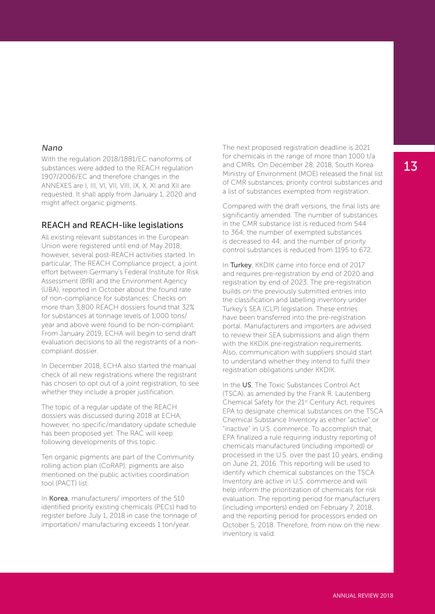#### **Nano**

With the regulation 2018/1881/EC nanoforms of substances were added to the REACH regulation 1907/2006/EC and therefore changes in the ANNEXES are I, III, VI, VII, VIII, IX, X, XI and XII are requested. It shall apply from January 1, 2020 and might affect organic pigments.

### REACH and REACH-like legislations

All existing relevant substances in the European Union were registered until end of May 2018; however, several post-REACH activities started. In particular, The REACH Compliance project, a joint effort between Germany's Federal Institute for Risk Assessment (BfR) and the Environment Agency (UBA), reported in October about the found rate of non-compliance for substances: Checks on more than 3,800 REACH dossiers found that 32% for substances at tonnage levels of 1,000 tons/ year and above were found to be non-compliant. From January 2019, ECHA will begin to send draft evaluation decisions to all the registrants of a noncompliant dossier.

In December 2018, ECHA also started the manual check of all new registrations where the registrant has chosen to opt out of a joint registration, to see whether they include a proper justification.

The topic of a regular update of the REACH dossiers was discussed during 2018 at ECHA; however, no specific/mandatory update schedule has been proposed yet. The RAC will keep following developments of this topic.

Ten organic pigments are part of the Community rolling action plan (CoRAP); pigments are also mentioned on the public activities coordination tool (PACT) list.

In Korea, manufacturers/ importers of the 510 identified priority existing chemicals (PECs) had to register before July 1, 2018 in case the tonnage of importation/ manufacturing exceeds 1 ton/year.

The next proposed registration deadline is 2021 for chemicals in the range of more than 1000 t/a and CMRs. On December 28, 2018, South Korea Ministry of Environment (MOE) released the final list of CMR substances, priority control substances and a list of substances exempted from registration.

Compared with the draft versions, the final lists are significantly amended. The number of substances in the CMR substance list is reduced from 544 to 364; the number of exempted substances is decreased to 44; and the number of priority control substances is reduced from 1195 to 672.

In Turkey, KKDIK came into force end of 2017 and requires pre-registration by end of 2020 and registration by end of 2023. The pre-registration builds on the previously submitted entries into the classification and labelling inventory under Turkey's SEA (CLP) legislation. These entries have been transferred into the pre-registration portal. Manufacturers and importers are advised to review their SEA submissions and align them with the KKDIK pre-registration requirements. Also, communication with suppliers should start to understand whether they intend to fulfil their registration obligations under KKDIK.

In the US, The Toxic Substances Control Act (TSCA), as amended by the Frank R. Lautenberg Chemical Safety for the 21st Century Act, requires EPA to designate chemical substances on the TSCA Chemical Substance Inventory as either "active" or "inactive" in U.S. commerce. To accomplish that, EPA finalized a rule requiring industry reporting of chemicals manufactured (including imported) or processed in the U.S. over the past 10 years, ending on June 21, 2016. This reporting will be used to identify which chemical substances on the TSCA Inventory are active in U.S. commerce and will help inform the prioritization of chemicals for risk evaluation. The reporting period for manufacturers (including importers) ended on February 7, 2018, and the reporting period for processors ended on October 5, 2018. Therefore, from now on the new inventory is valid.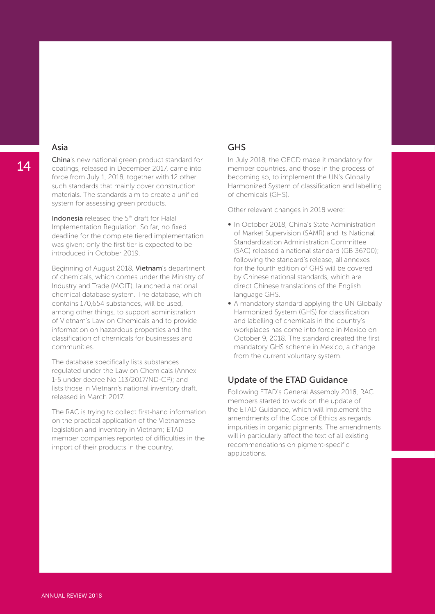### Asia

China's new national green product standard for coatings, released in December 2017, came into force from July 1, 2018, together with 12 other such standards that mainly cover construction materials. The standards aim to create a unified system for assessing green products.

Indonesia released the 5<sup>th</sup> draft for Halal Implementation Regulation. So far, no fixed deadline for the complete tiered implementation was given; only the first tier is expected to be introduced in October 2019.

Beginning of August 2018, Vietnam's department of chemicals, which comes under the Ministry of Industry and Trade (MOIT), launched a national chemical database system. The database, which contains 170,654 substances, will be used, among other things, to support administration of Vietnam's Law on Chemicals and to provide information on hazardous properties and the classification of chemicals for businesses and communities.

The database specifically lists substances regulated under the Law on Chemicals (Annex 1-5 under decree No 113/2017/ND-CP); and lists those in Vietnam's national inventory draft, released in March 2017.

The RAC is trying to collect first-hand information on the practical application of the Vietnamese legislation and inventory in Vietnam; ETAD member companies reported of difficulties in the import of their products in the country.

# GHS

In July 2018, the OECD made it mandatory for member countries, and those in the process of becoming so, to implement the UN's Globally Harmonized System of classification and labelling of chemicals (GHS).

Other relevant changes in 2018 were:

- In October 2018, China's State Administration of Market Supervision (SAMR) and its National Standardization Administration Committee (SAC) released a national standard (GB 36700); following the standard's release, all annexes for the fourth edition of GHS will be covered by Chinese national standards, which are direct Chinese translations of the English language GHS.
- A mandatory standard applying the UN Globally Harmonized System (GHS) for classification and labelling of chemicals in the country's workplaces has come into force in Mexico on October 9, 2018. The standard created the first mandatory GHS scheme in Mexico, a change from the current voluntary system.

# Update of the ETAD Guidance

Following ETAD's General Assembly 2018, RAC members started to work on the update of the ETAD Guidance, which will implement the amendments of the Code of Ethics as regards impurities in organic pigments. The amendments will in particularly affect the text of all existing recommendations on pigment-specific applications.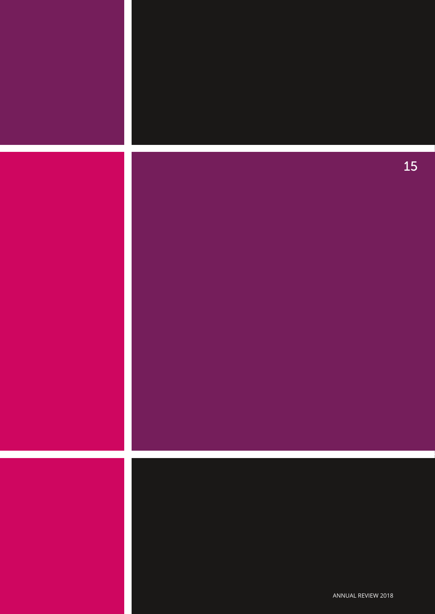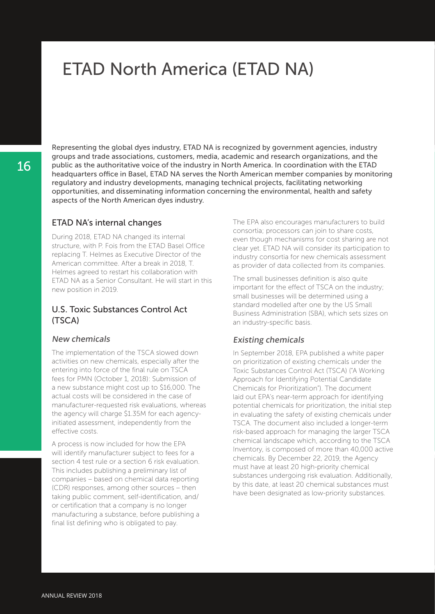# <span id="page-17-0"></span>ETAD North America (ETAD NA)

Representing the global dyes industry, ETAD NA is recognized by government agencies, industry groups and trade associations, customers, media, academic and research organizations, and the public as the authoritative voice of the industry in North America. In coordination with the ETAD headquarters office in Basel, ETAD NA serves the North American member companies by monitoring regulatory and industry developments, managing technical projects, facilitating networking opportunities, and disseminating information concerning the environmental, health and safety aspects of the North American dyes industry.

## ETAD NA's internal changes

During 2018, ETAD NA changed its internal structure, with P. Fois from the ETAD Basel Office replacing T. Helmes as Executive Director of the American committee. After a break in 2018, T. Helmes agreed to restart his collaboration with ETAD NA as a Senior Consultant. He will start in this new position in 2019.

## U.S. Toxic Substances Control Act (TSCA)

### **New chemicals**

The implementation of the TSCA slowed down activities on new chemicals, especially after the entering into force of the final rule on TSCA fees for PMN (October 1, 2018): Submission of a new substance might cost up to \$16,000. The actual costs will be considered in the case of manufacturer-requested risk evaluations, whereas the agency will charge \$1.35M for each agencyinitiated assessment, independently from the effective costs.

A process is now included for how the EPA will identify manufacturer subject to fees for a section 4 test rule or a section 6 risk evaluation. This includes publishing a preliminary list of companies – based on chemical data reporting (CDR) responses, among other sources – then taking public comment, self-identification, and/ or certification that a company is no longer manufacturing a substance, before publishing a final list defining who is obligated to pay.

The EPA also encourages manufacturers to build consortia; processors can join to share costs, even though mechanisms for cost sharing are not clear yet. ETAD NA will consider its participation to industry consortia for new chemicals assessment as provider of data collected from its companies.

The small businesses definition is also quite important for the effect of TSCA on the industry; small businesses will be determined using a standard modelled after one by the US Small Business Administration (SBA), which sets sizes on an industry-specific basis.

# **Existing chemicals**

In September 2018, EPA published a white paper on prioritization of existing chemicals under the Toxic Substances Control Act (TSCA) ("A Working Approach for Identifying Potential Candidate Chemicals for Prioritization"). The document laid out EPA's near-term approach for identifying potential chemicals for prioritization, the initial step in evaluating the safety of existing chemicals under TSCA. The document also included a longer-term risk-based approach for managing the larger TSCA chemical landscape which, according to the TSCA Inventory, is composed of more than 40,000 active chemicals. By December 22, 2019, the Agency must have at least 20 high-priority chemical substances undergoing risk evaluation. Additionally, by this date, at least 20 chemical substances must have been designated as low-priority substances.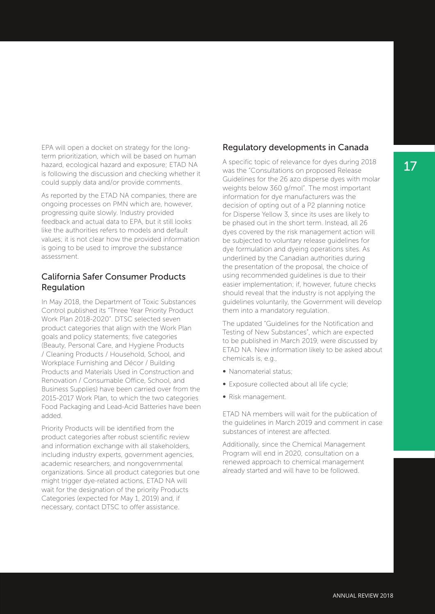EPA will open a docket on strategy for the longterm prioritization, which will be based on human hazard, ecological hazard and exposure; ETAD NA is following the discussion and checking whether it could supply data and/or provide comments.

As reported by the ETAD NA companies, there are ongoing processes on PMN which are, however, progressing quite slowly. Industry provided feedback and actual data to EPA, but it still looks like the authorities refers to models and default values; it is not clear how the provided information is going to be used to improve the substance assessment.

# California Safer Consumer Products Regulation

In May 2018, the Department of Toxic Substances Control published its "Three Year Priority Product Work Plan 2018-2020". DTSC selected seven product categories that align with the Work Plan goals and policy statements; five categories (Beauty, Personal Care, and Hygiene Products / Cleaning Products / Household, School, and Workplace Furnishing and Décor / Building Products and Materials Used in Construction and Renovation / Consumable Office, School, and Business Supplies) have been carried over from the 2015-2017 Work Plan, to which the two categories Food Packaging and Lead-Acid Batteries have been added.

Priority Products will be identified from the product categories after robust scientific review and information exchange with all stakeholders, including industry experts, government agencies, academic researchers, and nongovernmental organizations. Since all product categories but one might trigger dye-related actions, ETAD NA will wait for the designation of the priority Products Categories (expected for May 1, 2019) and, if necessary, contact DTSC to offer assistance.

# Regulatory developments in Canada

A specific topic of relevance for dyes during 2018 was the "Consultations on proposed Release Guidelines for the 26 azo disperse dyes with molar weights below 360 g/mol". The most important information for dye manufacturers was the decision of opting out of a P2 planning notice for Disperse Yellow 3, since its uses are likely to be phased out in the short term. Instead, all 26 dyes covered by the risk management action will be subjected to voluntary release guidelines for dye formulation and dyeing operations sites. As underlined by the Canadian authorities during the presentation of the proposal, the choice of using recommended guidelines is due to their easier implementation; if, however, future checks should reveal that the industry is not applying the guidelines voluntarily, the Government will develop them into a mandatory regulation.

The updated "Guidelines for the Notification and Testing of New Substances", which are expected to be published in March 2019, were discussed by ETAD NA. New information likely to be asked about chemicals is, e.g.,

- Nanomaterial status;
- Exposure collected about all life cycle;
- Risk management.

ETAD NA members will wait for the publication of the guidelines in March 2019 and comment in case substances of interest are affected.

Additionally, since the Chemical Management Program will end in 2020, consultation on a renewed approach to chemical management already started and will have to be followed.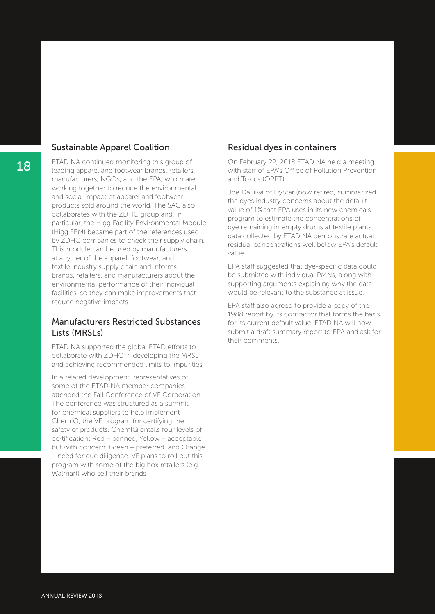### Sustainable Apparel Coalition

ETAD NA continued monitoring this group of leading apparel and footwear brands, retailers, manufacturers, NGOs, and the EPA, which are working together to reduce the environmental and social impact of apparel and footwear products sold around the world. The SAC also collaborates with the ZDHC group and, in particular, the Higg Facility Environmental Module (Higg FEM) became part of the references used by ZDHC companies to check their supply chain. This module can be used by manufacturers at any tier of the apparel, footwear, and textile industry supply chain and informs brands, retailers, and manufacturers about the environmental performance of their individual facilities, so they can make improvements that reduce negative impacts.

## Manufacturers Restricted Substances Lists (MRSLs)

ETAD NA supported the global ETAD efforts to collaborate with ZDHC in developing the MRSL and achieving recommended limits to impurities.

In a related development, representatives of some of the ETAD NA member companies attended the Fall Conference of VF Corporation. The conference was structured as a summit for chemical suppliers to help implement ChemIQ, the VF program for certifying the safety of products. ChemIQ entails four levels of certification: Red – banned, Yellow – acceptable but with concern, Green – preferred, and Orange – need for due diligence. VF plans to roll out this program with some of the big box retailers (e.g. Walmart) who sell their brands.

### Residual dyes in containers

On February 22, 2018 ETAD NA held a meeting with staff of EPA's Office of Pollution Prevention and Toxics (OPPT).

Joe DaSilva of DyStar (now retired) summarized the dyes industry concerns about the default value of 1% that EPA uses in its new chemicals program to estimate the concentrations of dye remaining in empty drums at textile plants; data collected by ETAD NA demonstrate actual residual concentrations well below EPA's default value.

EPA staff suggested that dye-specific data could be submitted with individual PMNs, along with supporting arguments explaining why the data would be relevant to the substance at issue.

EPA staff also agreed to provide a copy of the 1988 report by its contractor that forms the basis for its current default value. ETAD NA will now submit a draft summary report to EPA and ask for their comments.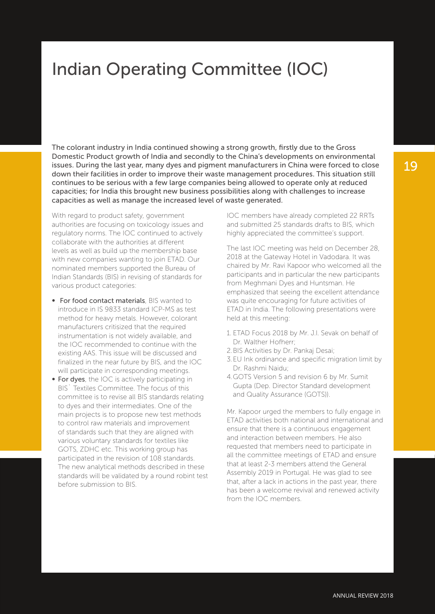# <span id="page-20-0"></span>Indian Operating Committee (IOC)

The colorant industry in India continued showing a strong growth, firstly due to the Gross Domestic Product growth of India and secondly to the China's developments on environmental issues. During the last year, many dyes and pigment manufacturers in China were forced to close down their facilities in order to improve their waste management procedures. This situation still continues to be serious with a few large companies being allowed to operate only at reduced capacities; for India this brought new business possibilities along with challenges to increase capacities as well as manage the increased level of waste generated.

With regard to product safety, government authorities are focusing on toxicology issues and regulatory norms. The IOC continued to actively collaborate with the authorities at different levels as well as build up the membership base with new companies wanting to join ETAD. Our nominated members supported the Bureau of Indian Standards (BIS) in revising of standards for various product categories:

- For food contact materials, BIS wanted to introduce in IS 9833 standard ICP-MS as test method for heavy metals. However, colorant manufacturers critisized that the required instrumentation is not widely available, and the IOC recommended to continue with the existing AAS. This issue will be discussed and finalized in the near future by BIS, and the IOC will participate in corresponding meetings.
- For dyes, the IOC is actively participating in BIS` Textiles Committee. The focus of this committee is to revise all BIS standards relating to dyes and their intermediates. One of the main projects is to propose new test methods to control raw materials and improvement of standards such that they are aligned with various voluntary standards for textiles like GOTS, ZDHC etc. This working group has participated in the revision of 108 standards. The new analytical methods described in these standards will be validated by a round robint test before submission to BIS.

IOC members have already completed 22 RRTs and submitted 25 standards drafts to BIS, which highly appreciated the committee's support.

The last IOC meeting was held on December 28, 2018 at the Gateway Hotel in Vadodara. It was chaired by Mr. Ravi Kapoor who welcomed all the participants and in particular the new participants from Meghmani Dyes and Huntsman. He emphasized that seeing the excellent attendance was quite encouraging for future activities of ETAD in India. The following presentations were held at this meeting:

- 1. ETAD Focus 2018 by Mr. J.I. Sevak on behalf of Dr. Walther Hofherr;
- 2.BIS Activities by Dr. Pankaj Desai;
- 3.EU Ink ordinance and specific migration limit by Dr. Rashmi Naidu;
- 4.GOTS Version 5 and revision 6 by Mr. Sumit Gupta (Dep. Director Standard development and Quality Assurance (GOTS)).

Mr. Kapoor urged the members to fully engage in ETAD activities both national and international and ensure that there is a continuous engagement and interaction between members. He also requested that members need to participate in all the committee meetings of ETAD and ensure that at least 2-3 members attend the General Assembly 2019 in Portugal. He was glad to see that, after a lack in actions in the past year, there has been a welcome revival and renewed activity from the IOC members.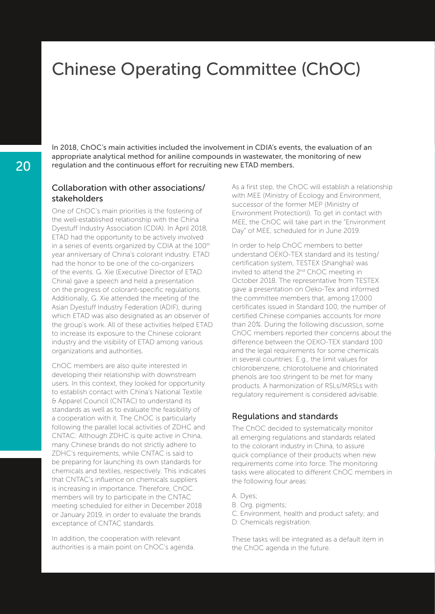# <span id="page-21-0"></span>Chinese Operating Committee (ChOC)

In 2018, ChOC's main activities included the involvement in CDIA's events, the evaluation of an appropriate analytical method for aniline compounds in wastewater, the monitoring of new regulation and the continuous effort for recruiting new ETAD members.

# Collaboration with other associations/ stakeholders

One of ChOC's main priorities is the fostering of the well-established relationship with the China Dyestuff Industry Association (CDIA). In April 2018, ETAD had the opportunity to be actively involved in a series of events organized by CDIA at the 100<sup>th</sup> year anniversary of China's colorant industry. ETAD had the honor to be one of the co-organizers of the events. G. Xie (Executive Director of ETAD China) gave a speech and held a presentation on the progress of colorant-specific regulations. Additionally, G. Xie attended the meeting of the Asian Dyestuff Industry Federation (ADIF), during which ETAD was also designated as an observer of the group's work. All of these activities helped ETAD to increase its exposure to the Chinese colorant industry and the visibility of ETAD among various organizations and authorities.

ChOC members are also quite interested in developing their relationship with downstream users. In this context, they looked for opportunity to establish contact with China's National Textile & Apparel Council (CNTAC) to understand its standards as well as to evaluate the feasibility of a cooperation with it. The ChOC is particularly following the parallel local activities of ZDHC and CNTAC: Although ZDHC is quite active in China, many Chinese brands do not strictly adhere to ZDHC's requirements, while CNTAC is said to be preparing for launching its own standards for chemicals and textiles, respectively. This indicates that CNTAC's influence on chemicals suppliers is increasing in importance. Therefore, ChOC members will try to participate in the CNTAC meeting scheduled for either in December 2018 or January 2019, in order to evaluate the brands exceptance of CNTAC standards.

In addition, the cooperation with relevant authorities is a main point on ChOC's agenda. As a first step, the ChOC will establish a relationship with MEE (Ministry of Ecology and Environment, successor of the former MEP (Ministry of Environment Protection)). To get in contact with MEE, the ChOC will take part in the "Environment Day" of MEE, scheduled for in June 2019.

In order to help ChOC members to better understand OEKO-TEX standard and its testing/ certification system, TESTEX (Shanghai) was invited to attend the 2nd ChOC meeting in October 2018. The representative from TESTEX gave a presentation on Oeko-Tex and informed the committee members that, among 17,000 certificates issued in Standard 100, the number of certified Chinese companies accounts for more than 20%. During the following discussion, some ChOC members reported their concerns about the difference between the OEKO-TEX standard 100 and the legal requirements for some chemicals in several countries: E.g., the limit values for chlorobenzene, chlorotoluene and chlorinated phenols are too stringent to be met for many products. A harmonization of RSLs/MRSLs with regulatory requirement is considered advisable.

### Regulations and standards

The ChOC decided to systematically monitor all emerging regulations and standards related to the colorant industry in China, to assure quick compliance of their products when new requirements come into force. The monitoring tasks were allocated to different ChOC members in the following four areas:

- A. Dyes;
- B. Org. pigments;
- C. Environment, health and product safety; and
- D. Chemicals registration.

These tasks will be integrated as a default item in the ChOC agenda in the future.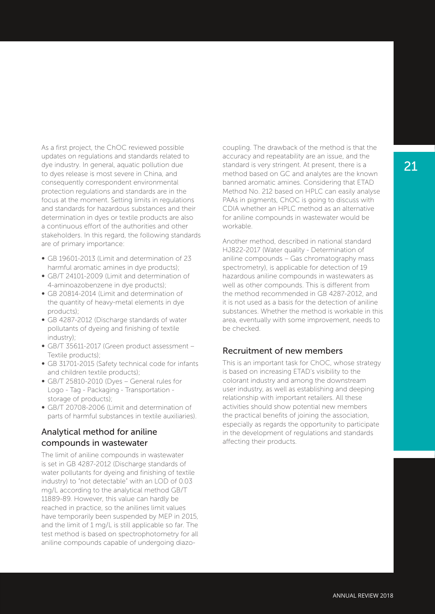As a first project, the ChOC reviewed possible updates on regulations and standards related to dye industry. In general, aquatic pollution due to dyes release is most severe in China, and consequently correspondent environmental protection regulations and standards are in the focus at the moment. Setting limits in regulations and standards for hazardous substances and their determination in dyes or textile products are also a continuous effort of the authorities and other stakeholders. In this regard, the following standards are of primary importance:

- GB 19601-2013 (Limit and determination of 23 harmful aromatic amines in dye products);
- GB/T 24101-2009 (Limit and determination of 4-aminoazobenzene in dye products);
- GB 20814-2014 (Limit and determination of the quantity of heavy-metal elements in dye products);
- GB 4287-2012 (Discharge standards of water pollutants of dyeing and finishing of textile industry);
- GB/T 35611-2017 (Green product assessment Textile products);
- GB 31701-2015 (Safety technical code for infants and children textile products);
- GB/T 25810-2010 (Dyes General rules for Logo - Tag - Packaging - Transportation storage of products);
- GB/T 20708-2006 (Limit and determination of parts of harmful substances in textile auxiliaries).

# Analytical method for aniline compounds in wastewater

The limit of aniline compounds in wastewater is set in GB 4287-2012 (Discharge standards of water pollutants for dyeing and finishing of textile industry) to "not detectable" with an LOD of 0.03 mg/L according to the analytical method GB/T 11889-89. However, this value can hardly be reached in practice, so the anilines limit values have temporarily been suspended by MEP in 2015, and the limit of 1 mg/L is still applicable so far. The test method is based on spectrophotometry for all aniline compounds capable of undergoing diazo-

coupling. The drawback of the method is that the accuracy and repeatability are an issue, and the standard is very stringent. At present, there is a method based on GC and analytes are the known banned aromatic amines. Considering that ETAD Method No. 212 based on HPLC can easily analyse PAAs in pigments, ChOC is going to discuss with CDIA whether an HPLC method as an alternative for aniline compounds in wastewater would be workable.

Another method, described in national standard HJ822-2017 (Water quality - Determination of aniline compounds – Gas chromatography mass spectrometry), is applicable for detection of 19 hazardous aniline compounds in wastewaters as well as other compounds. This is different from the method recommended in GB 4287-2012, and it is not used as a basis for the detection of aniline substances. Whether the method is workable in this area, eventually with some improvement, needs to be checked.

# Recruitment of new members

This is an important task for ChOC, whose strategy is based on increasing ETAD's visibility to the colorant industry and among the downstream user industry, as well as establishing and deeping relationship with important retailers. All these activities should show potential new members the practical benefits of joining the association, especially as regards the opportunity to participate in the development of regulations and standards affecting their products.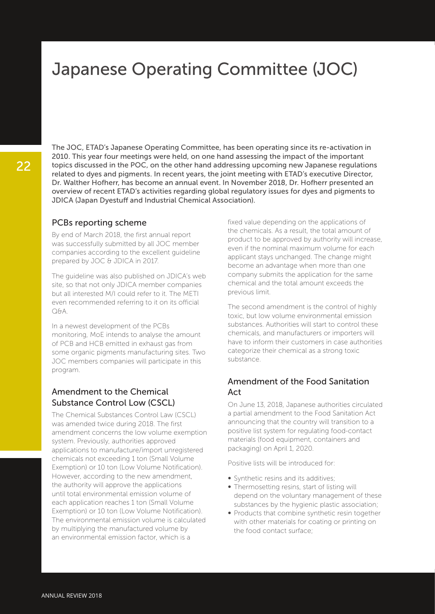# <span id="page-23-0"></span>Japanese Operating Committee (JOC)

The JOC, ETAD's Japanese Operating Committee, has been operating since its re-activation in 2010. This year four meetings were held, on one hand assessing the impact of the important topics discussed in the POC, on the other hand addressing upcoming new Japanese regulations related to dyes and pigments. In recent years, the joint meeting with ETAD's executive Director, Dr. Walther Hofherr, has become an annual event. In November 2018, Dr. Hofherr presented an overview of recent ETAD's activities regarding global regulatory issues for dyes and pigments to JDICA (Japan Dyestuff and Industrial Chemical Association).

# PCBs reporting scheme

By end of March 2018, the first annual report was successfully submitted by all JOC member companies according to the excellent guideline prepared by JOC & JDICA in 2017.

The guideline was also published on JDICA's web site, so that not only JDICA member companies but all interested M/I could refer to it. The METI even recommended referring to it on its official Q&A.

In a newest development of the PCBs monitoring, MoE intends to analyse the amount of PCB and HCB emitted in exhaust gas from some organic pigments manufacturing sites. Two JOC members companies will participate in this program.

# Amendment to the Chemical Substance Control Low (CSCL)

The Chemical Substances Control Law (CSCL) was amended twice during 2018. The first amendment concerns the low volume exemption system. Previously, authorities approved applications to manufacture/import unregistered chemicals not exceeding 1 ton (Small Volume Exemption) or 10 ton (Low Volume Notification). However, according to the new amendment, the authority will approve the applications until total environmental emission volume of each application reaches 1 ton (Small Volume Exemption) or 10 ton (Low Volume Notification). The environmental emission volume is calculated by multiplying the manufactured volume by an environmental emission factor, which is a

fixed value depending on the applications of the chemicals. As a result, the total amount of product to be approved by authority will increase, even if the nominal maximum volume for each applicant stays unchanged. The change might become an advantage when more than one company submits the application for the same chemical and the total amount exceeds the previous limit.

The second amendment is the control of highly toxic, but low volume environmental emission substances. Authorities will start to control these chemicals, and manufacturers or importers will have to inform their customers in case authorities categorize their chemical as a strong toxic substance.

# Amendment of the Food Sanitation Act

On June 13, 2018, Japanese authorities circulated a partial amendment to the Food Sanitation Act announcing that the country will transition to a positive list system for regulating food-contact materials (food equipment, containers and packaging) on April 1, 2020.

Positive lists will be introduced for:

- Synthetic resins and its additives;
- Thermosetting resins, start of listing will depend on the voluntary management of these substances by the hygienic plastic association;
- Products that combine synthetic resin together with other materials for coating or printing on the food contact surface;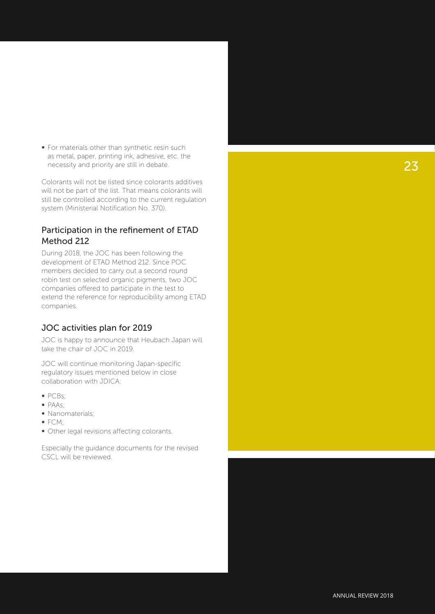• For materials other than synthetic resin such as metal, paper, printing ink, adhesive, etc. the necessity and priority are still in debate.

Colorants will not be listed since colorants additives will not be part of the list. That means colorants will still be controlled according to the current regulation system (Ministerial Notification No. 370).

# Participation in the refinement of ETAD Method 212

During 2018, the JOC has been following the development of ETAD Method 212. Since POC members decided to carry out a second round robin test on selected organic pigments, two JOC companies offered to participate in the test to extend the reference for reproducibility among ETAD companies.

# JOC activities plan for 2019

JOC is happy to announce that Heubach Japan will take the chair of JOC in 2019.

JOC will continue monitoring Japan-specific regulatory issues mentioned below in close collaboration with JDICA:

- PCBs;
- PAAs;
- Nanomaterials;
- FCM;
- Other legal revisions affecting colorants.

Especially the guidance documents for the revised CSCL will be reviewed.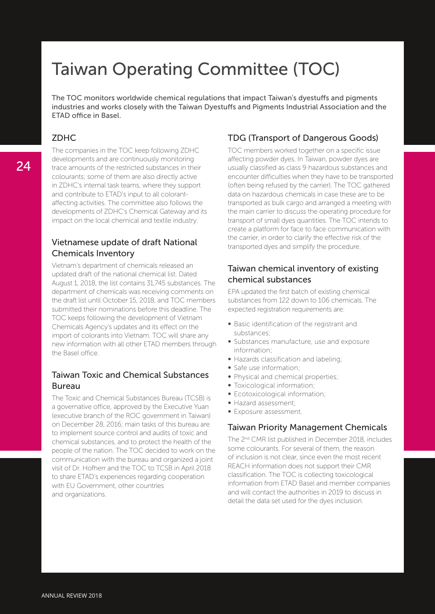# <span id="page-25-0"></span>Taiwan Operating Committee (TOC)

The TOC monitors worldwide chemical regulations that impact Taiwan's dyestuffs and pigments industries and works closely with the Taiwan Dyestuffs and Pigments Industrial Association and the ETAD office in Basel.

# ZDHC

The companies in the TOC keep following ZDHC developments and are continuously monitoring trace amounts of the restricted substances in their colourants; some of them are also directly active in ZDHC's internal task teams, where they support and contribute to ETAD's input to all colorantaffecting activities. The committee also follows the developments of ZDHC's Chemical Gateway and its impact on the local chemical and textile industry.

# Vietnamese update of draft National Chemicals Inventory

Vietnam's department of chemicals released an updated draft of the national chemical list. Dated August 1, 2018, the list contains 31,745 substances. The department of chemicals was receiving comments on the draft list until October 15, 2018, and TOC members submitted their nominations before this deadline. The TOC keeps following the development of Vietnam Chemicals Agency's updates and its effect on the import of colorants into Vietnam. TOC will share any new information with all other ETAD members through the Basel office.

# Taiwan Toxic and Chemical Substances Bureau

The Toxic and Chemical Substances Bureau (TCSB) is a governative office, approved by the Executive Yuan (executive branch of the ROC government in Taiwan) on December 28, 2016; main tasks of this bureau are to implement source control and audits of toxic and chemical substances, and to protect the health of the people of the nation. The TOC decided to work on the communication with the bureau and organized a joint visit of Dr. Hofherr and the TOC to TCSB in April 2018 to share ETAD's experiences regarding cooperation with EU Government, other countries and organizations.

# TDG (Transport of Dangerous Goods)

TOC members worked together on a specific issue affecting powder dyes. In Taiwan, powder dyes are usually classified as class 9 hazardous substances and encounter difficulties when they have to be transported (often being refused by the carrier). The TOC gathered data on hazardous chemicals in case these are to be transported as bulk cargo and arranged a meeting with the main carrier to discuss the operating procedure for transport of small dyes quantities. The TOC intends to create a platform for face to face communication with the carrier, in order to clarify the effective risk of the transported dyes and simplify the procedure.

# Taiwan chemical inventory of existing chemical substances

EPA updated the first batch of existing chemical substances from 122 down to 106 chemicals. The expected registration requirements are:

- Basic identification of the registrant and substances;
- Substances manufacture, use and exposure information;
- Hazards classification and labeling;
- Safe use information;
- Physical and chemical properties:
- Toxicological information;
- Ecotoxicological information;
- Hazard assessment;
- Exposure assessment.

# Taiwan Priority Management Chemicals

The 2nd CMR list published in December 2018, includes some colourants. For several of them, the reason of inclusion is not clear, since even the most recent REACH information does not support their CMR classification. The TOC is collecting toxicological information from ETAD Basel and member companies and will contact the authorities in 2019 to discuss in detail the data set used for the dyes inclusion.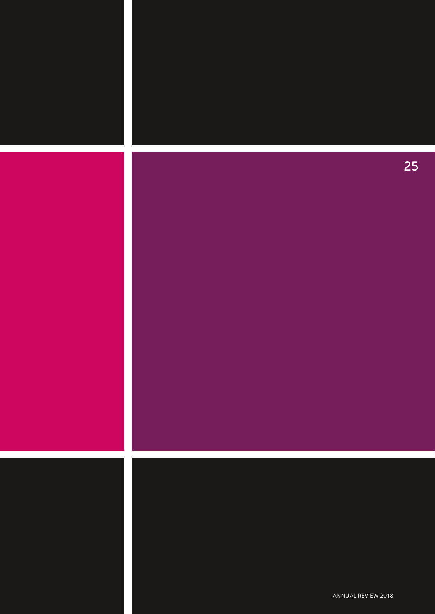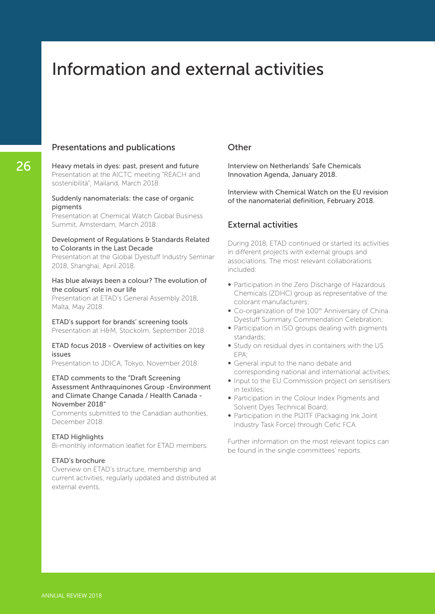# <span id="page-27-0"></span>Information and external activities

### Presentations and publications

Heavy metals in dyes: past, present and future Presentation at the AICTC meeting "REACH and sostenibilità", Mailand, March 2018.

#### Suddenly nanomaterials: the case of organic pigments

Presentation at Chemical Watch Global Business Summit, Amsterdam, March 2018.

#### Development of Regulations & Standards Related to Colorants in the Last Decade

Presentation at the Global Dyestuff Industry Seminar 2018, Shanghai, April 2018.

#### Has blue always been a colour? The evolution of the colours' role in our life

Presentation at ETAD's General Assembly 2018, Malta, May 2018.

ETAD's support for brands' screening tools Presentation at H&M, Stockolm, September 2018.

#### ETAD focus 2018 - Overview of activities on key issues

Presentation to JDICA, Tokyo, November 2018.

#### ETAD comments to the "Draft Screening Assessment Anthraquinones Group -Environment and Climate Change Canada / Health Canada - November 2018"

Comments submitted to the Canadian authorities, December 2018.

#### ETAD Highlights

Bi-monthly information leaflet for ETAD members.

#### ETAD's brochure

Overview on ETAD's structure, membership and current activities, regularly updated and distributed at external events.

#### **Other**

Interview on Netherlands' Safe Chemicals Innovation Agenda, January 2018.

Interview with Chemical Watch on the EU revision of the nanomaterial definition, February 2018.

### External activities

During 2018, ETAD continued or started its activities in different projects with external groups and associations. The most relevant collaborations included:

- Participation in the Zero Discharge of Hazardous Chemicals (ZDHC) group as representative of the colorant manufacturers;
- Co-organization of the 100<sup>th</sup> Anniversary of China Dyestuff Summary Commendation Celebration;
- Participation in ISO groups dealing with pigments standards;
- Study on residual dyes in containers with the US EPA;
- General input to the nano debate and corresponding national and international activities;
- Input to the EU Commission project on sensitisers in textiles;
- Participation in the Colour Index Pigments and Solvent Dyes Technical Board;
- Participation in the PIJITF (Packaging Ink Joint Industry Task Force) through Cefic FCA.

Further information on the most relevant topics can be found in the single committees' reports.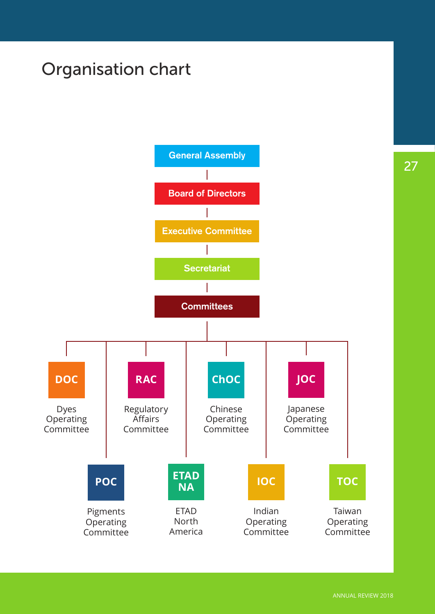<span id="page-28-0"></span>

27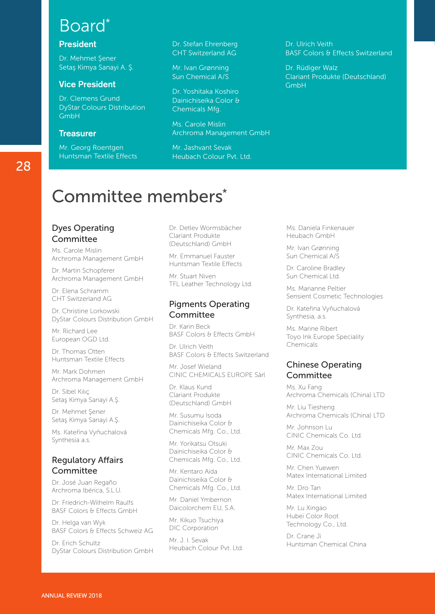# <span id="page-29-0"></span>Board\*

## **President**

Dr. Mehmet Şener Setaş Kimya Sanayi A. Ş.

### **Vice President**

Dr. Clemens Grund DyStar Colours Distribution GmbH

#### **Treasurer**

Mr. Georg Roentgen Huntsman Textile Effects

Dr. Stefan Ehrenberg CHT Switzerland AG

Mr. Ivan Grønning Sun Chemical A/S

Dr. Yoshitaka Koshiro Dainichiseika Color & Chemicals Mfg.

Ms. Carole Mislin Archroma Management GmbH

Mr. Jashvant Sevak Heubach Colour Pvt. Ltd. Dr. Ulrich Veith BASF Colors & Effects Switzerland

Dr. Rüdiger Walz Clariant Produkte (Deutschland) GmbH

# Committee members\*

# Dyes Operating **Committee**

Ms. Carole Mislin Archroma Management GmbH

Dr. Martin Schopferer Archroma Management GmbH

Dr. Elena Schramm CHT Switzerland AG

Dr. Christine Lorkowski DyStar Colours Distribution GmbH

Mr. Richard Lee European OGD Ltd.

Dr. Thomas Otten Huntsman Textile Effects

Mr. Mark Dohmen Archroma Management GmbH

Dr. Sibel Kılıç Setaş Kimya Sanayi A.Ş.

Dr. Mehmet Şener Setaş Kimya Sanayi A.Ş.

Ms. Kateřina Vyňuchalová Synthesia a.s.

# Regulatory Affairs Committee

Dr. José Juan Regaño Archroma Ibérica, S.L.U.

Dr. Friedrich-Wilhelm Raulfs BASF Colors & Effects GmbH

Dr. Helga van Wyk BASF Colors & Effects Schweiz AG

Dr. Erich Schultz DyStar Colours Distribution GmbH Dr. Detlev Wormsbächer Clariant Produkte (Deutschland) GmbH

Mr. Emmanuel Fauster Huntsman Textile Effects

Mr. Stuart Niven TFL Leather Technology Ltd.

# Pigments Operating **Committee**

Dr. Karin Beck BASF Colors & Effects GmbH

Dr. Ulrich Veith BASF Colors & Effects Switzerland

Mr. Josef Wieland CINIC CHEMICALS EUROPE Sàrl

Dr. Klaus Kund Clariant Produkte (Deutschland) GmbH

Mr. Susumu Isoda Dainichiseika Color & Chemicals Mfg. Co., Ltd.

Mr. Yorikatsu Otsuki Dainichiseika Color & Chemicals Mfg. Co., Ltd.

Mr. Kentaro Aida Dainichiseika Color & Chemicals Mfg. Co., Ltd.

Mr. Daniel Ymbernon Daicolorchem EU, S.A.

Mr. Kikuo Tsuchiya DIC Corporation

Mr. J. I. Sevak Heubach Colour Pvt. Ltd. Ms. Daniela Finkenauer Heubach GmbH

Mr. Ivan Grønning Sun Chemical A/S

Dr. Caroline Bradley Sun Chemical Ltd.

Ms. Marianne Peltier Sensient Cosmetic Technologies

Dr. Kateřina Vyňuchalová Synthesia, a.s.

Ms. Marine Ribert Toyo Ink Europe Speciality Chemicals

# Chinese Operating Committee

Ms. Xu Fang Archroma Chemicals (China) LTD

Mr. Liu Tiesheng Archroma Chemicals (China) LTD

Mr. Johnson Lu CINIC Chemicals Co. Ltd.

Mr. Max Zou CINIC Chemicals Co. Ltd.

Mr. Chen Yuewen Matex International Limited

Mr. Dro Tan Matex International Limited

Mr. Lu Xingao Hubei Color Root Technology Co., Ltd.

Dr. Crane Ji Huntsman Chemical China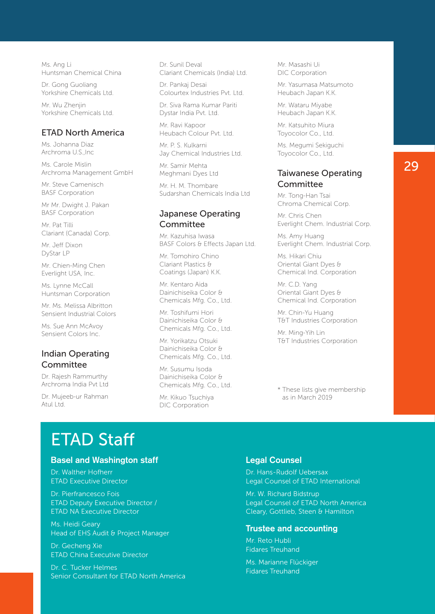Ms. Ang Li Huntsman Chemical China

Dr. Gong Guoliang Yorkshire Chemicals Ltd.

Mr. Wu Zheniin Yorkshire Chemicals Ltd.

#### ETAD North America

Ms. Johanna Diaz Archroma U.S.,Inc

Ms. Carole Mislin Archroma Management GmbH

Mr. Steve Camenisch BASF Corporation

Mr Mr. Dwight J. Pakan BASF Corporation

Mr. Pat Tilli Clariant (Canada) Corp.

Mr. Jeff Dixon DyStar LP

Mr. Chien-Ming Chen Everlight USA, Inc.

Ms. Lynne McCall Huntsman Corporation

Mr. Ms. Melissa Albritton Sensient Industrial Colors

Ms. Sue Ann McAvoy Sensient Colors Inc.

# Indian Operating Committee

Dr. Rajesh Rammurthy Archroma India Pvt Ltd

Dr. Mujeeb-ur Rahman Atul Ltd.

Dr. Sunil Deval Clariant Chemicals (India) Ltd.

Dr. Pankaj Desai Colourtex Industries Pvt. Ltd.

Dr. Siva Rama Kumar Pariti Dystar India Pvt. Ltd.

Mr. Ravi Kapoor Heubach Colour Pvt. Ltd.

Mr. P. S. Kulkarni Jay Chemical Industries Ltd.

Mr. Samir Mehta Meghmani Dyes Ltd

Mr. H. M. Thombare Sudarshan Chemicals India Ltd

# Japanese Operating Committee

Mr. Kazuhisa Iwasa BASF Colors & Effects Japan Ltd.

Mr. Tomohiro Chino Clariant Plastics & Coatings (Japan) K.K.

Mr. Kentaro Aida Dainichiseika Color & Chemicals Mfg. Co., Ltd.

Mr. Toshifumi Hori Dainichiseika Color & Chemicals Mfg. Co., Ltd.

Mr. Yorikatzu Otsuki Dainichiseika Color & Chemicals Mfg. Co., Ltd.

Mr. Susumu Isoda Dainichiseika Color & Chemicals Mfg. Co., Ltd.

Mr. Kikuo Tsuchiya DIC Corporation

Mr. Masashi Ui DIC Corporation

Mr. Yasumasa Matsumoto Heubach Japan K.K.

Mr. Wataru Miyabe Heubach Japan K.K.

Mr. Katsuhito Miura Toyocolor Co., Ltd.

Ms. Megumi Sekiguchi Toyocolor Co., Ltd.

# Taiwanese Operating Committee

Mr. Tong-Han Tsai Chroma Chemical Corp.

Mr. Chris Chen Everlight Chem. Industrial Corp.

Ms. Amy Huang Everlight Chem. Industrial Corp.

Ms. Hikari Chiu Oriental Giant Dyes & Chemical Ind. Corporation

Mr. C.D. Yang Oriental Giant Dyes & Chemical Ind. Corporation

Mr. Chin-Yu Huang T&T Industries Corporation

Mr. Ming-Yih Lin T&T Industries Corporation

\* These lists give membership as in March 2019

# ETAD Staff

#### **Basel and Washington staff**

Dr. Walther Hofherr ETAD Executive Director

Dr. Pierfrancesco Fois ETAD Deputy Executive Director / ETAD NA Executive Director

Ms. Heidi Geary Head of EHS Audit & Project Manager

Dr. Gecheng Xie ETAD China Executive Director

Dr. C. Tucker Helmes Senior Consultant for ETAD North America

### **Legal Counsel**

Dr. Hans-Rudolf Uebersax Legal Counsel of ETAD International

Mr. W. Richard Bidstrup Legal Counsel of ETAD North America Cleary, Gottlieb, Steen & Hamilton

#### **Trustee and accounting**

Mr. Reto Hubli Fidares Treuhand

Ms. Marianne Flückiger Fidares Treuhand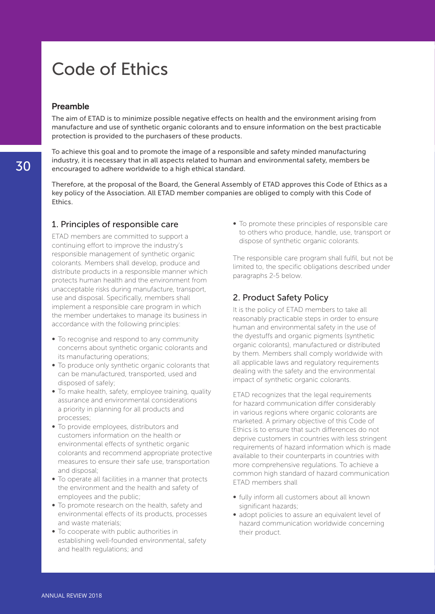# <span id="page-31-0"></span>Code of Ethics

### **Preamble**

The aim of ETAD is to minimize possible negative effects on health and the environment arising from manufacture and use of synthetic organic colorants and to ensure information on the best practicable protection is provided to the purchasers of these products.

To achieve this goal and to promote the image of a responsible and safety minded manufacturing industry, it is necessary that in all aspects related to human and environmental safety, members be encouraged to adhere worldwide to a high ethical standard.

Therefore, at the proposal of the Board, the General Assembly of ETAD approves this Code of Ethics as a key policy of the Association. All ETAD member companies are obliged to comply with this Code of Ethics.

#### 1. Principles of responsible care

ETAD members are committed to support a continuing effort to improve the industry's responsible management of synthetic organic colorants. Members shall develop, produce and distribute products in a responsible manner which protects human health and the environment from unacceptable risks during manufacture, transport, use and disposal. Specifically, members shall implement a responsible care program in which the member undertakes to manage its business in accordance with the following principles:

- To recognise and respond to any community concerns about synthetic organic colorants and its manufacturing operations;
- To produce only synthetic organic colorants that can be manufactured, transported, used and disposed of safely;
- To make health, safety, employee training, quality assurance and environmental considerations a priority in planning for all products and processes;
- To provide employees, distributors and customers information on the health or environmental effects of synthetic organic colorants and recommend appropriate protective measures to ensure their safe use, transportation and disposal;
- To operate all facilities in a manner that protects the environment and the health and safety of employees and the public;
- To promote research on the health, safety and environmental effects of its products, processes and waste materials;
- To cooperate with public authorities in establishing well-founded environmental, safety and health regulations; and

• To promote these principles of responsible care to others who produce, handle, use, transport or dispose of synthetic organic colorants.

The responsible care program shall fulfil, but not be limited to, the specific obligations described under paragraphs 2-5 below.

### 2. Product Safety Policy

It is the policy of ETAD members to take all reasonably practicable steps in order to ensure human and environmental safety in the use of the dyestuffs and organic pigments (synthetic organic colorants), manufactured or distributed by them. Members shall comply worldwide with all applicable laws and regulatory requirements dealing with the safety and the environmental impact of synthetic organic colorants.

ETAD recognizes that the legal requirements for hazard communication differ considerably in various regions where organic colorants are marketed. A primary objective of this Code of Ethics is to ensure that such differences do not deprive customers in countries with less stringent requirements of hazard information which is made available to their counterparts in countries with more comprehensive regulations. To achieve a common high standard of hazard communication ETAD members shall

- fully inform all customers about all known significant hazards;
- adopt policies to assure an equivalent level of hazard communication worldwide concerning their product.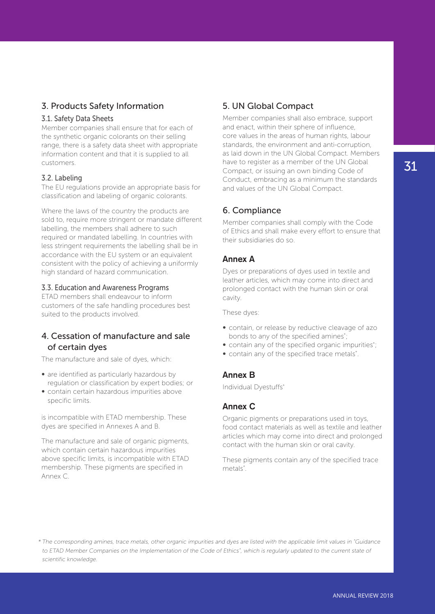# 3. Products Safety Information

#### 3.1. Safety Data Sheets

Member companies shall ensure that for each of the synthetic organic colorants on their selling range, there is a safety data sheet with appropriate information content and that it is supplied to all customers.

### 3.2. Labeling

The EU regulations provide an appropriate basis for classification and labeling of organic colorants.

Where the laws of the country the products are sold to, require more stringent or mandate different labelling, the members shall adhere to such required or mandated labelling. In countries with less stringent requirements the labelling shall be in accordance with the EU system or an equivalent consistent with the policy of achieving a uniformly high standard of hazard communication.

#### 3.3. Education and Awareness Programs

ETAD members shall endeavour to inform customers of the safe handling procedures best suited to the products involved.

# 4. Cessation of manufacture and sale of certain dyes

The manufacture and sale of dyes, which:

- are identified as particularly hazardous by regulation or classification by expert bodies; or
- contain certain hazardous impurities above specific limits.

is incompatible with ETAD membership. These dyes are specified in Annexes A and B.

The manufacture and sale of organic pigments, which contain certain hazardous impurities above specific limits, is incompatible with ETAD membership. These pigments are specified in Annex C.

# 5. UN Global Compact

Member companies shall also embrace, support and enact, within their sphere of influence, core values in the areas of human rights, labour standards, the environment and anti-corruption, as laid down in the UN Global Compact. Members have to register as a member of the UN Global Compact, or issuing an own binding Code of Conduct, embracing as a minimum the standards and values of the UN Global Compact.

# 6. Compliance

Member companies shall comply with the Code of Ethics and shall make every effort to ensure that their subsidiaries do so.

## **Annex A**

Dyes or preparations of dyes used in textile and leather articles, which may come into direct and prolonged contact with the human skin or oral cavity.

These dyes:

- contain, or release by reductive cleavage of azo bonds to any of the specified amines\* ;
- contain any of the specified organic impurities\*;
- contain any of the specified trace metals\* .

# **Annex B**

Individual Dyestuffs\*

# **Annex C**

Organic pigments or preparations used in toys, food contact materials as well as textile and leather articles which may come into direct and prolonged contact with the human skin or oral cavity.

These pigments contain any of the specified trace metals\* .

\* The corresponding amines, trace metals, other organic impurities and dyes are listed with the applicable limit values in "Guidance to ETAD Member Companies on the Implementation of the Code of Ethics", which is regularly updated to the current state of scientific knowledge.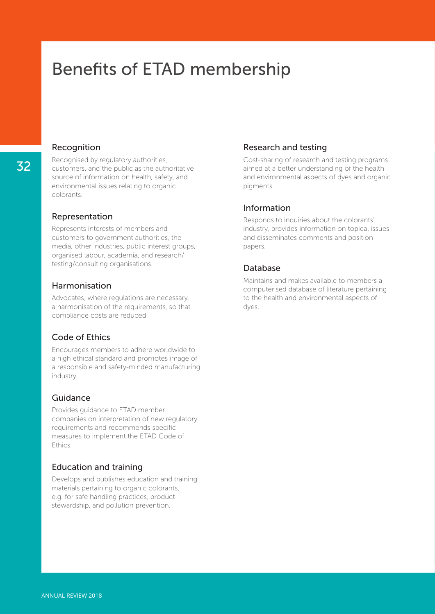# <span id="page-33-0"></span>Benefits of ETAD membership

## Recognition

Recognised by regulatory authorities, customers, and the public as the authoritative source of information on health, safety, and environmental issues relating to organic colorants.

#### Representation

Represents interests of members and customers to government authorities, the media, other industries, public interest groups, organised labour, academia, and research/ testing/consulting organisations.

## Harmonisation

Advocates, where regulations are necessary, a harmonisation of the requirements, so that compliance costs are reduced.

# Code of Ethics

Encourages members to adhere worldwide to a high ethical standard and promotes image of a responsible and safety-minded manufacturing industry.

# Guidance

Provides guidance to ETAD member companies on interpretation of new regulatory requirements and recommends specific measures to implement the ETAD Code of **Ethics** 

### Education and training

Develops and publishes education and training materials pertaining to organic colorants, e.g. for safe handling practices, product stewardship, and pollution prevention.

## Research and testing

Cost-sharing of research and testing programs aimed at a better understanding of the health and environmental aspects of dyes and organic pigments.

#### Information

Responds to inquiries about the colorants' industry, provides information on topical issues and disseminates comments and position papers.

### **Database**

Maintains and makes available to members a computerised database of literature pertaining to the health and environmental aspects of dyes.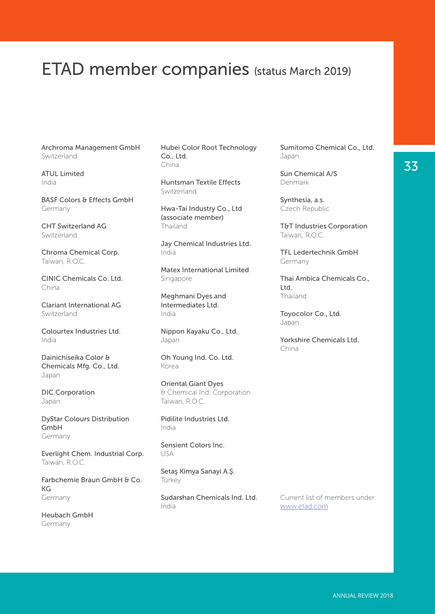# <span id="page-34-0"></span>ETAD member companies (status March 2019)

Archroma Management GmbH Switzerland

ATUL Limited India

BASF Colors & Effects GmbH Germany

CHT Switzerland AG Switzerland

Chroma Chemical Corp. Taiwan, R.O.C.

CINIC Chemicals Co. Ltd. China

Clariant International AG Switzerland

Colourtex Industries Ltd. India

Dainichiseika Color & Chemicals Mfg. Co., Ltd. Japan

DIC Corporation Japan

DyStar Colours Distribution GmbH Germany

Everlight Chem. Industrial Corp. Taiwan, R.O.C.

Farbchemie Braun GmbH & Co. KG Germany

Heubach GmbH Germany

Hubei Color Root Technology Co., Ltd. China

Huntsman Textile Effects Switzerland

Hwa-Tai Industry Co., Ltd (associate member) Thailand

Jay Chemical Industries Ltd. India

Matex International Limited Singapore

Meghmani Dyes and Intermediates Ltd. India

Nippon Kayaku Co., Ltd. Japan

Oh Young Ind. Co. Ltd. Korea

Oriental Giant Dyes & Chemical Ind. Corporation Taiwan, R.O.C.

Pidilite Industries Ltd. India

Sensient Colors Inc. USA

Setaş Kimya Sanayi A.Ş. Turkey

Sudarshan Chemicals Ind. Ltd. India

Sumitomo Chemical Co., Ltd. Japan

Sun Chemical A/S Denmark

Synthesia, a.s. Czech Republic

T&T Industries Corporation Taiwan, R.O.C.

TFL Ledertechnik GmbH Germany

Thai Ambica Chemicals Co., Ltd. Thailand

Toyocolor Co., Ltd. Japan

Yorkshire Chemicals Ltd. China

Current list of members under: [www.etad.com](http://www.etad.com)